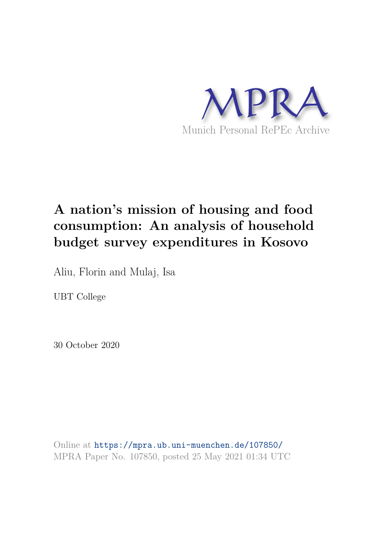

# **A nation's mission of housing and food consumption: An analysis of household budget survey expenditures in Kosovo**

Aliu, Florin and Mulaj, Isa

UBT College

30 October 2020

Online at https://mpra.ub.uni-muenchen.de/107850/ MPRA Paper No. 107850, posted 25 May 2021 01:34 UTC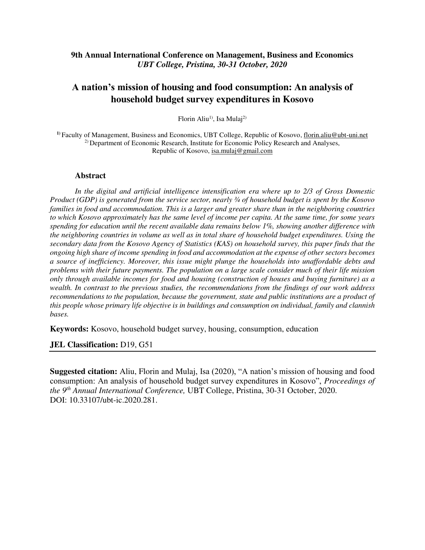# **9th Annual International Conference on Management, Business and Economics**  *UBT College, Pristina, 30-31 October, 2020*

# **A nation's mission of housing and food consumption: An analysis of household budget survey expenditures in Kosovo**

Florin Aliu<sup>1)</sup>, Isa Mulaj<sup>2)</sup>

**1)** Faculty of Management, Business and Economics, UBT College, Republic of Kosovo, [florin.aliu@ubt-uni.net](mailto:florin.aliu@ubt-uni.net)  2) Department of Economic Research, Institute for Economic Policy Research and Analyses, Republic of Kosovo, isa.mulaj@gmail.com

#### **Abstract**

*In the digital and artificial intelligence intensification era where up to 2/3 of Gross Domestic Product (GDP) is generated from the service sector, nearly ¾ of household budget is spent by the Kosovo families in food and accommodation. This is a larger and greater share than in the neighboring countries to which Kosovo approximately has the same level of income per capita. At the same time, for some years spending for education until the recent available data remains below 1%, showing another difference with the neighboring countries in volume as well as in total share of household budget expenditures. Using the secondary data from the Kosovo Agency of Statistics (KAS) on household survey, this paper finds that the ongoing high share of income spending in food and accommodation at the expense of other sectors becomes a source of inefficiency. Moreover, this issue might plunge the households into unaffordable debts and problems with their future payments. The population on a large scale consider much of their life mission only through available incomes for food and housing (construction of houses and buying furniture) as a wealth. In contrast to the previous studies, the recommendations from the findings of our work address recommendations to the population, because the government, state and public institutions are a product of this people whose primary life objective is in buildings and consumption on individual, family and clannish bases.* 

**Keywords:** Kosovo, household budget survey, housing, consumption, education

**JEL Classification:** D19, G51

**Suggested citation:** Aliu, Florin and Mulaj, Isa (2020), "A nation's mission of housing and food consumption: An analysis of household budget survey expenditures in Kosovo", *Proceedings of the 9th Annual International Conference,* UBT College, Pristina, 30-31 October, 2020. DOI: 10.33107/ubt-ic.2020.281.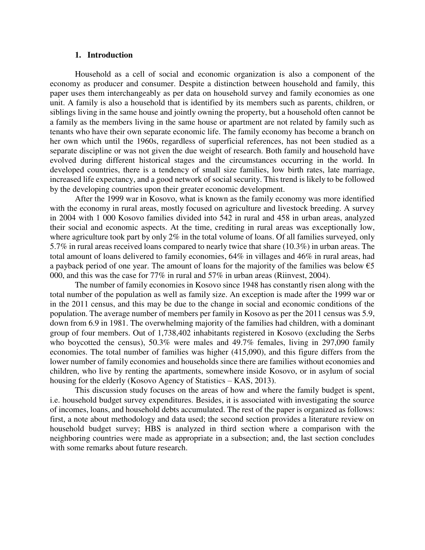#### **1. Introduction**

Household as a cell of social and economic organization is also a component of the economy as producer and consumer. Despite a distinction between household and family, this paper uses them interchangeably as per data on household survey and family economies as one unit. A family is also a household that is identified by its members such as parents, children, or siblings living in the same house and jointly owning the property, but a household often cannot be a family as the members living in the same house or apartment are not related by family such as tenants who have their own separate economic life. The family economy has become a branch on her own which until the 1960s, regardless of superficial references, has not been studied as a separate discipline or was not given the due weight of research. Both family and household have evolved during different historical stages and the circumstances occurring in the world. In developed countries, there is a tendency of small size families, low birth rates, late marriage, increased life expectancy, and a good network of social security. This trend is likely to be followed by the developing countries upon their greater economic development.

After the 1999 war in Kosovo, what is known as the family economy was more identified with the economy in rural areas, mostly focused on agriculture and livestock breeding. A survey in 2004 with 1 000 Kosovo families divided into 542 in rural and 458 in urban areas, analyzed their social and economic aspects. At the time, crediting in rural areas was exceptionally low, where agriculture took part by only 2% in the total volume of loans. Of all families surveyed, only 5.7% in rural areas received loans compared to nearly twice that share (10.3%) in urban areas. The total amount of loans delivered to family economies, 64% in villages and 46% in rural areas, had a payback period of one year. The amount of loans for the majority of the families was below  $\epsilon$ 5 000, and this was the case for 77% in rural and 57% in urban areas (Riinvest, 2004).

The number of family economies in Kosovo since 1948 has constantly risen along with the total number of the population as well as family size. An exception is made after the 1999 war or in the 2011 census, and this may be due to the change in social and economic conditions of the population. The average number of members per family in Kosovo as per the 2011 census was 5.9, down from 6.9 in 1981. The overwhelming majority of the families had children, with a dominant group of four members. Out of 1,738,402 inhabitants registered in Kosovo (excluding the Serbs who boycotted the census), 50.3% were males and 49.7% females, living in 297,090 family economies. The total number of families was higher (415,090), and this figure differs from the lower number of family economies and households since there are families without economies and children, who live by renting the apartments, somewhere inside Kosovo, or in asylum of social housing for the elderly (Kosovo Agency of Statistics – KAS, 2013).

This discussion study focuses on the areas of how and where the family budget is spent, i.e. household budget survey expenditures. Besides, it is associated with investigating the source of incomes, loans, and household debts accumulated. The rest of the paper is organized as follows: first, a note about methodology and data used; the second section provides a literature review on household budget survey; HBS is analyzed in third section where a comparison with the neighboring countries were made as appropriate in a subsection; and, the last section concludes with some remarks about future research.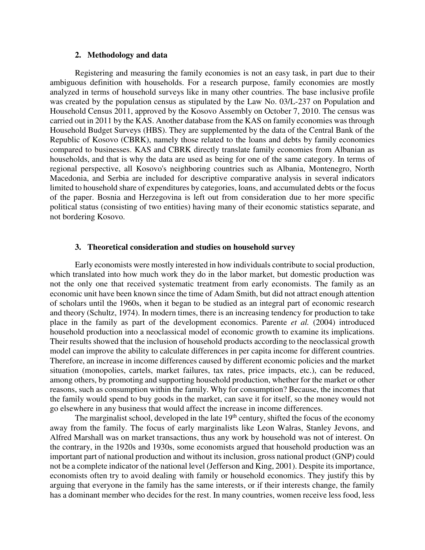# **2. Methodology and data**

Registering and measuring the family economies is not an easy task, in part due to their ambiguous definition with households. For a research purpose, family economies are mostly analyzed in terms of household surveys like in many other countries. The base inclusive profile was created by the population census as stipulated by the Law No. 03/L-237 on Population and Household Census 2011, approved by the Kosovo Assembly on October 7, 2010. The census was carried out in 2011 by the KAS. Another database from the KAS on family economies was through Household Budget Surveys (HBS). They are supplemented by the data of the Central Bank of the Republic of Kosovo (CBRK), namely those related to the loans and debts by family economies compared to businesses. KAS and CBRK directly translate family economies from Albanian as households, and that is why the data are used as being for one of the same category. In terms of regional perspective, all Kosovo's neighboring countries such as Albania, Montenegro, North Macedonia, and Serbia are included for descriptive comparative analysis in several indicators limited to household share of expenditures by categories, loans, and accumulated debts or the focus of the paper. Bosnia and Herzegovina is left out from consideration due to her more specific political status (consisting of two entities) having many of their economic statistics separate, and not bordering Kosovo.

#### **3. Theoretical consideration and studies on household survey**

Early economists were mostly interested in how individuals contribute to social production, which translated into how much work they do in the labor market, but domestic production was not the only one that received systematic treatment from early economists. The family as an economic unit have been known since the time of Adam Smith, but did not attract enough attention of scholars until the 1960s, when it began to be studied as an integral part of economic research and theory (Schultz, 1974). In modern times, there is an increasing tendency for production to take place in the family as part of the development economics. Parente *et al.* (2004) introduced household production into a neoclassical model of economic growth to examine its implications. Their results showed that the inclusion of household products according to the neoclassical growth model can improve the ability to calculate differences in per capita income for different countries. Therefore, an increase in income differences caused by different economic policies and the market situation (monopolies, cartels, market failures, tax rates, price impacts, etc.), can be reduced, among others, by promoting and supporting household production, whether for the market or other reasons, such as consumption within the family. Why for consumption? Because, the incomes that the family would spend to buy goods in the market, can save it for itself, so the money would not go elsewhere in any business that would affect the increase in income differences.

The marginalist school, developed in the late  $19<sup>th</sup>$  century, shifted the focus of the economy away from the family. The focus of early marginalists like Leon Walras, Stanley Jevons, and Alfred Marshall was on market transactions, thus any work by household was not of interest. On the contrary, in the 1920s and 1930s, some economists argued that household production was an important part of national production and without its inclusion, gross national product (GNP) could not be a complete indicator of the national level (Jefferson and King, 2001). Despite its importance, economists often try to avoid dealing with family or household economics. They justify this by arguing that everyone in the family has the same interests, or if their interests change, the family has a dominant member who decides for the rest. In many countries, women receive less food, less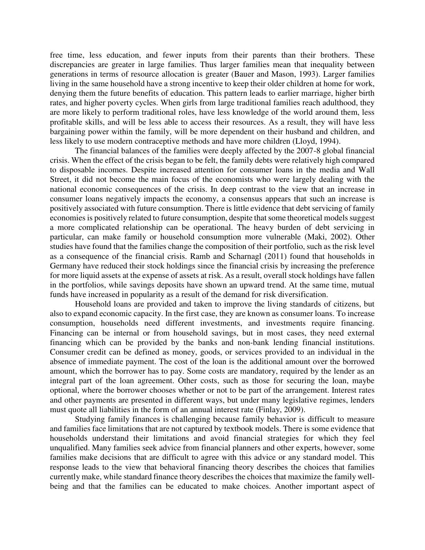free time, less education, and fewer inputs from their parents than their brothers. These discrepancies are greater in large families. Thus larger families mean that inequality between generations in terms of resource allocation is greater (Bauer and Mason, 1993). Larger families living in the same household have a strong incentive to keep their older children at home for work, denying them the future benefits of education. This pattern leads to earlier marriage, higher birth rates, and higher poverty cycles. When girls from large traditional families reach adulthood, they are more likely to perform traditional roles, have less knowledge of the world around them, less profitable skills, and will be less able to access their resources. As a result, they will have less bargaining power within the family, will be more dependent on their husband and children, and less likely to use modern contraceptive methods and have more children (Lloyd, 1994).

The financial balances of the families were deeply affected by the 2007-8 global financial crisis. When the effect of the crisis began to be felt, the family debts were relatively high compared to disposable incomes. Despite increased attention for consumer loans in the media and Wall Street, it did not become the main focus of the economists who were largely dealing with the national economic consequences of the crisis. In deep contrast to the view that an increase in consumer loans negatively impacts the economy, a consensus appears that such an increase is positively associated with future consumption. There is little evidence that debt servicing of family economies is positively related to future consumption, despite that some theoretical models suggest a more complicated relationship can be operational. The heavy burden of debt servicing in particular, can make family or household consumption more vulnerable (Maki, 2002). Other studies have found that the families change the composition of their portfolio, such as the risk level as a consequence of the financial crisis. Ramb and Scharnagl (2011) found that households in Germany have reduced their stock holdings since the financial crisis by increasing the preference for more liquid assets at the expense of assets at risk. As a result, overall stock holdings have fallen in the portfolios, while savings deposits have shown an upward trend. At the same time, mutual funds have increased in popularity as a result of the demand for risk diversification.

Household loans are provided and taken to improve the living standards of citizens, but also to expand economic capacity. In the first case, they are known as consumer loans. To increase consumption, households need different investments, and investments require financing. Financing can be internal or from household savings, but in most cases, they need external financing which can be provided by the banks and non-bank lending financial institutions. Consumer credit can be defined as money, goods, or services provided to an individual in the absence of immediate payment. The cost of the loan is the additional amount over the borrowed amount, which the borrower has to pay. Some costs are mandatory, required by the lender as an integral part of the loan agreement. Other costs, such as those for securing the loan, maybe optional, where the borrower chooses whether or not to be part of the arrangement. Interest rates and other payments are presented in different ways, but under many legislative regimes, lenders must quote all liabilities in the form of an annual interest rate (Finlay, 2009).

Studying family finances is challenging because family behavior is difficult to measure and families face limitations that are not captured by textbook models. There is some evidence that households understand their limitations and avoid financial strategies for which they feel unqualified. Many families seek advice from financial planners and other experts, however, some families make decisions that are difficult to agree with this advice or any standard model. This response leads to the view that behavioral financing theory describes the choices that families currently make, while standard finance theory describes the choices that maximize the family wellbeing and that the families can be educated to make choices. Another important aspect of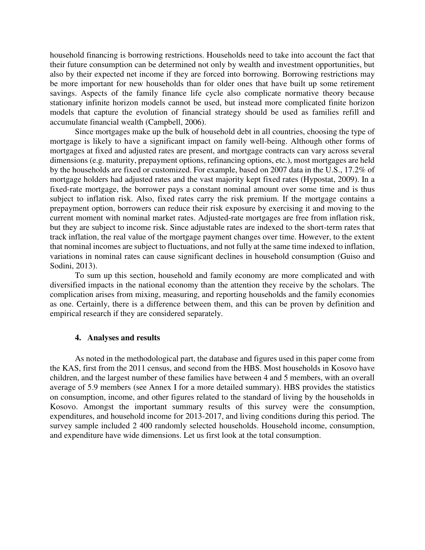household financing is borrowing restrictions. Households need to take into account the fact that their future consumption can be determined not only by wealth and investment opportunities, but also by their expected net income if they are forced into borrowing. Borrowing restrictions may be more important for new households than for older ones that have built up some retirement savings. Aspects of the family finance life cycle also complicate normative theory because stationary infinite horizon models cannot be used, but instead more complicated finite horizon models that capture the evolution of financial strategy should be used as families refill and accumulate financial wealth (Campbell, 2006).

Since mortgages make up the bulk of household debt in all countries, choosing the type of mortgage is likely to have a significant impact on family well-being. Although other forms of mortgages at fixed and adjusted rates are present, and mortgage contracts can vary across several dimensions (e.g. maturity, prepayment options, refinancing options, etc.), most mortgages are held by the households are fixed or customized. For example, based on 2007 data in the U.S., 17.2% of mortgage holders had adjusted rates and the vast majority kept fixed rates (Hypostat, 2009). In a fixed-rate mortgage, the borrower pays a constant nominal amount over some time and is thus subject to inflation risk. Also, fixed rates carry the risk premium. If the mortgage contains a prepayment option, borrowers can reduce their risk exposure by exercising it and moving to the current moment with nominal market rates. Adjusted-rate mortgages are free from inflation risk, but they are subject to income risk. Since adjustable rates are indexed to the short-term rates that track inflation, the real value of the mortgage payment changes over time. However, to the extent that nominal incomes are subject to fluctuations, and not fully at the same time indexed to inflation, variations in nominal rates can cause significant declines in household consumption (Guiso and Sodini, 2013).

To sum up this section, household and family economy are more complicated and with diversified impacts in the national economy than the attention they receive by the scholars. The complication arises from mixing, measuring, and reporting households and the family economies as one. Certainly, there is a difference between them, and this can be proven by definition and empirical research if they are considered separately.

#### **4. Analyses and results**

As noted in the methodological part, the database and figures used in this paper come from the KAS, first from the 2011 census, and second from the HBS. Most households in Kosovo have children, and the largest number of these families have between 4 and 5 members, with an overall average of 5.9 members (see Annex I for a more detailed summary). HBS provides the statistics on consumption, income, and other figures related to the standard of living by the households in Kosovo. Amongst the important summary results of this survey were the consumption, expenditures, and household income for 2013-2017, and living conditions during this period. The survey sample included 2 400 randomly selected households. Household income, consumption, and expenditure have wide dimensions. Let us first look at the total consumption.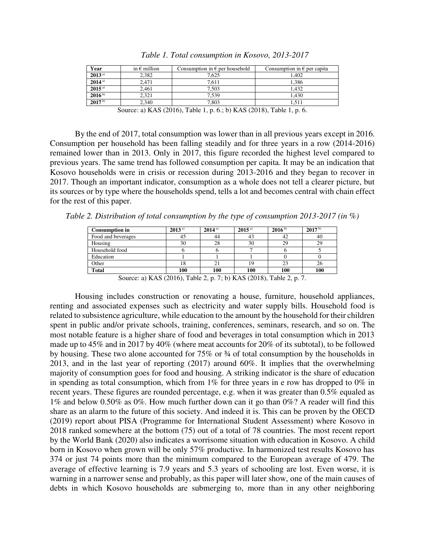| Year        | in $\epsilon$ million | Consumption in $\epsilon$ per household | Consumption in $\epsilon$ per capita |
|-------------|-----------------------|-----------------------------------------|--------------------------------------|
| $2013^{a)}$ | 2.382                 | 7.625                                   | 1.402                                |
| $2014^{a)}$ | 2,471                 | 7.611                                   | 1.386                                |
| $2015^{a)}$ | 2,461                 | 7,503                                   | 1.432                                |
| $2016^{b}$  | 2.321                 | 7.539                                   | 1.430                                |
| $2017^{b}$  | 2.340                 | 7,803                                   | 1.511                                |

*Table 1. Total consumption in Kosovo, 2013-2017* 

By the end of 2017, total consumption was lower than in all previous years except in 2016. Consumption per household has been falling steadily and for three years in a row (2014-2016) remained lower than in 2013. Only in 2017, this figure recorded the highest level compared to previous years. The same trend has followed consumption per capita. It may be an indication that Kosovo households were in crisis or recession during 2013-2016 and they began to recover in 2017. Though an important indicator, consumption as a whole does not tell a clearer picture, but its sources or by type where the households spend, tells a lot and becomes central with chain effect for the rest of this paper.

*Table 2. Distribution of total consumption by the type of consumption 2013-2017 (in %)*

|                    |                                                                 |     | $2015^{a}$                            | $2016^{b}$ | $2017^{b}$     |
|--------------------|-----------------------------------------------------------------|-----|---------------------------------------|------------|----------------|
| Food and beverages | 45                                                              | 44  | 43                                    | 42         | 40             |
| Housing            | 30                                                              | 28  | 30                                    | 29         | 29             |
| Household food     |                                                                 |     |                                       |            |                |
| Education          |                                                                 |     |                                       |            |                |
| Other              |                                                                 |     |                                       | 23         | 26             |
| <b>Total</b>       | 100                                                             | 100 | 100                                   | 100        | 100            |
| $\sim$             | $\sqrt{17}$ $\sqrt{201}$ $\sqrt{201}$ $\sqrt{201}$ $\sqrt{201}$ |     | $7.1$ $\sqrt{7}$ $(0.010)$ $T$ $11.2$ |            | $\overline{ }$ |

Source: a) KAS (2016), Table 2, p. 7; b) KAS (2018), Table 2, p. 7.

Housing includes construction or renovating a house, furniture, household appliances, renting and associated expenses such as electricity and water supply bills. Household food is related to subsistence agriculture, while education to the amount by the household for their children spent in public and/or private schools, training, conferences, seminars, research, and so on. The most notable feature is a higher share of food and beverages in total consumption which in 2013 made up to 45% and in 2017 by 40% (where meat accounts for 20% of its subtotal), to be followed by housing. These two alone accounted for 75% or ¾ of total consumption by the households in 2013, and in the last year of reporting (2017) around 60%. It implies that the overwhelming majority of consumption goes for food and housing. A striking indicator is the share of education in spending as total consumption, which from  $1\%$  for three years in e row has dropped to  $0\%$  in recent years. These figures are rounded percentage, e.g. when it was greater than 0.5% equaled as 1% and below 0.50% as 0%. How much further down can it go than 0%? A reader will find this share as an alarm to the future of this society. And indeed it is. This can be proven by the OECD (2019) report about PISA (Programme for International Student Assessment) where Kosovo in 2018 ranked somewhere at the bottom (75) out of a total of 78 countries. The most recent report by the World Bank (2020) also indicates a worrisome situation with education in Kosovo. A child born in Kosovo when grown will be only 57% productive. In harmonized test results Kosovo has 374 or just 74 points more than the minimum compared to the European average of 479. The average of effective learning is 7.9 years and 5.3 years of schooling are lost. Even worse, it is warning in a narrower sense and probably, as this paper will later show, one of the main causes of debts in which Kosovo households are submerging to, more than in any other neighboring

Source: a) KAS (2016), Table 1, p. 6.; b) KAS (2018), Table 1, p. 6.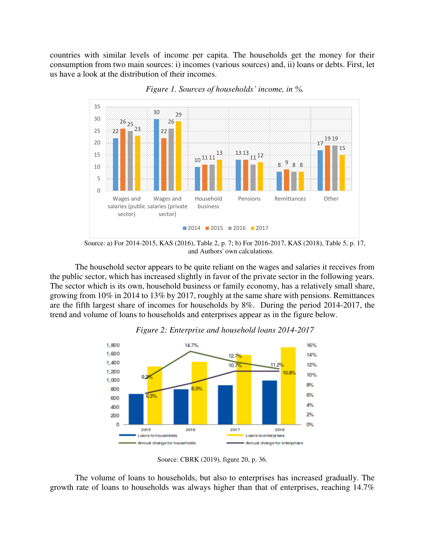countries with similar levels of income per capita. The households get the money for their consumption from two main sources: i) incomes (various sources) and, ii) loans or debts. First, let us have a look at the distribution of their incomes.



*Figure 1. Sources of households' income, in %.* 

Source: a) For 2014-2015, KAS (2016), Table 2, p. 7; b) For 2016-2017, KAS (2018), Table 5, p. 17, and Authors' own calculations.

The household sector appears to be quite reliant on the wages and salaries it receives from the public sector, which has increased slightly in favor of the private sector in the following years. The sector which is its own, household business or family economy, has a relatively small share, growing from 10% in 2014 to 13% by 2017, roughly at the same share with pensions. Remittances are the fifth largest share of incomes for households by 8%. During the period 2014-2017, the trend and volume of loans to households and enterprises appear as in the figure below.



*Figure 2: Enterprise and household loans 2014-2017* 

Source: CBRK (2019), figure 20, p. 36.

The volume of loans to households, but also to enterprises has increased gradually. The growth rate of loans to households was always higher than that of enterprises, reaching 14.7%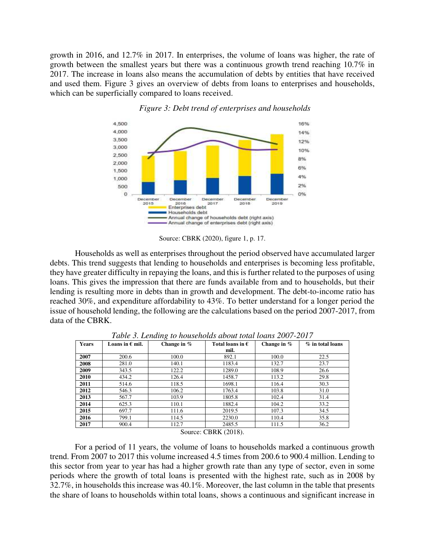growth in 2016, and 12.7% in 2017. In enterprises, the volume of loans was higher, the rate of growth between the smallest years but there was a continuous growth trend reaching 10.7% in 2017. The increase in loans also means the accumulation of debts by entities that have received and used them. Figure 3 gives an overview of debts from loans to enterprises and households, which can be superficially compared to loans received.



*Figure 3: Debt trend of enterprises and households* 

Source: CBRK (2020), figure 1, p. 17.

Households as well as enterprises throughout the period observed have accumulated larger debts. This trend suggests that lending to households and enterprises is becoming less profitable, they have greater difficulty in repaying the loans, and this is further related to the purposes of using loans. This gives the impression that there are funds available from and to households, but their lending is resulting more in debts than in growth and development. The debt-to-income ratio has reached 30%, and expenditure affordability to 43%. To better understand for a longer period the issue of household lending, the following are the calculations based on the period 2007-2017, from data of the CBRK.

| <b>Years</b><br>Loans in $\epsilon$ mil. |       | Change in $%$ | Total loans in $\epsilon$ | Change in $%$ | $%$ in total loans |  |
|------------------------------------------|-------|---------------|---------------------------|---------------|--------------------|--|
|                                          |       |               | mil.                      |               |                    |  |
| 2007                                     | 200.6 | 100.0         | 892.1                     | 100.0         | 22.5               |  |
| 2008                                     | 281.0 | 140.1         | 1183.4                    | 132.7         | 23.7               |  |
| 2009                                     | 343.5 | 122.2         | 1289.0                    | 108.9         | 26.6               |  |
| 2010                                     | 434.2 | 126.4         | 1458.7                    | 113.2         | 29.8               |  |
| 2011                                     | 514.6 | 118.5         | 1698.1                    | 116.4         | 30.3               |  |
| 2012                                     | 546.3 | 106.2         | 1763.4                    | 103.8         | 31.0               |  |
| 2013                                     | 567.7 | 103.9         | 1805.8                    | 102.4         | 31.4               |  |
| 2014                                     | 625.3 | 110.1         | 1882.4                    | 104.2         | 33.2               |  |
| 2015                                     | 697.7 | 111.6         | 2019.5                    | 107.3         | 34.5               |  |
| 2016                                     | 799.1 | 114.5         | 2230.0                    | 110.4         | 35.8               |  |
| 2017                                     | 900.4 | 112.7         | 2485.5                    | 111.5         | 36.2               |  |

*Table 3. Lending to households about total loans 2007-2017* 

Source: CBRK (2018).

For a period of 11 years, the volume of loans to households marked a continuous growth trend. From 2007 to 2017 this volume increased 4.5 times from 200.6 to 900.4 million. Lending to this sector from year to year has had a higher growth rate than any type of sector, even in some periods where the growth of total loans is presented with the highest rate, such as in 2008 by 32.7%, in households this increase was 40.1%. Moreover, the last column in the table that presents the share of loans to households within total loans, shows a continuous and significant increase in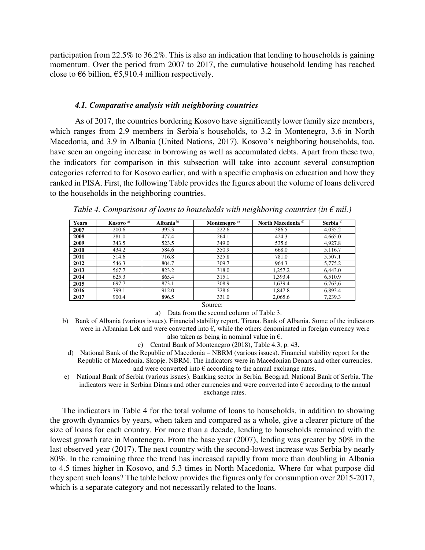participation from 22.5% to 36.2%. This is also an indication that lending to households is gaining momentum. Over the period from 2007 to 2017, the cumulative household lending has reached close to  $\epsilon$ 6 billion,  $\epsilon$ 5,910.4 million respectively.

#### *4.1. Comparative analysis with neighboring countries*

As of 2017, the countries bordering Kosovo have significantly lower family size members, which ranges from 2.9 members in Serbia's households, to 3.2 in Montenegro, 3.6 in North Macedonia, and 3.9 in Albania (United Nations, 2017). Kosovo's neighboring households, too, have seen an ongoing increase in borrowing as well as accumulated debts. Apart from these two, the indicators for comparison in this subsection will take into account several consumption categories referred to for Kosovo earlier, and with a specific emphasis on education and how they ranked in PISA. First, the following Table provides the figures about the volume of loans delivered to the households in the neighboring countries.

| Years | Kosovo <sup>a)</sup> | Albania $b$ | Montenegro $\circ$ | North Macedonia <sup>d)</sup> | Serbia $e$ <sup>e)</sup> |  |
|-------|----------------------|-------------|--------------------|-------------------------------|--------------------------|--|
| 2007  | 200.6                | 395.3       | 222.6              | 386.5                         | 4,035.2                  |  |
| 2008  | 281.0                | 477.4       | 264.1              | 424.3                         | 4,665.0                  |  |
| 2009  | 343.5                | 523.5       | 349.0              | 535.6                         | 4,927.8                  |  |
| 2010  | 434.2                | 584.6       | 350.9              | 668.0                         | 5,116.7                  |  |
| 2011  | 514.6                | 716.8       | 325.8              | 781.0                         | 5,507.1                  |  |
| 2012  | 546.3                | 804.7       | 309.7              | 964.3                         | 5,775.2                  |  |
| 2013  | 567.7                | 823.2       | 318.0              | 1,257.2                       | 6,443.0                  |  |
| 2014  | 625.3                | 865.4       | 315.1              | 1,393.4                       | 6,510.9                  |  |
| 2015  | 697.7                | 873.1       | 308.9              | 1,639.4                       | 6,763,6                  |  |
| 2016  | 799.1                | 912.0       | 328.6              | 1,847.8                       | 6,893.4                  |  |
| 2017  | 900.4                | 896.5       | 331.0              | 2,065.6                       | 7,239.3                  |  |

*Table 4. Comparisons of loans to households with neighboring countries (in*  $\epsilon$  *mil.)* 

Source:

a) Data from the second column of Table 3.

b) Bank of Albania (various issues). Financial stability report. Tirana. Bank of Albania. Some of the indicators were in Albanian Lek and were converted into  $\epsilon$ , while the others denominated in foreign currency were also taken as being in nominal value in  $\epsilon$ .

c) Central Bank of Montenegro (2018), Table 4.3, p. 43.

- d) National Bank of the Republic of Macedonia NBRM (various issues). Financial stability report for the Republic of Macedonia. Skopje. NBRM. The indicators were in Macedonian Denars and other currencies, and were converted into  $\epsilon$  according to the annual exchange rates.
- e) National Bank of Serbia (various issues). Banking sector in Serbia. Beograd. National Bank of Serbia. The indicators were in Serbian Dinars and other currencies and were converted into € according to the annual exchange rates.

The indicators in Table 4 for the total volume of loans to households, in addition to showing the growth dynamics by years, when taken and compared as a whole, give a clearer picture of the size of loans for each country. For more than a decade, lending to households remained with the lowest growth rate in Montenegro. From the base year (2007), lending was greater by 50% in the last observed year (2017). The next country with the second-lowest increase was Serbia by nearly 80%. In the remaining three the trend has increased rapidly from more than doubling in Albania to 4.5 times higher in Kosovo, and 5.3 times in North Macedonia. Where for what purpose did they spent such loans? The table below provides the figures only for consumption over 2015-2017, which is a separate category and not necessarily related to the loans.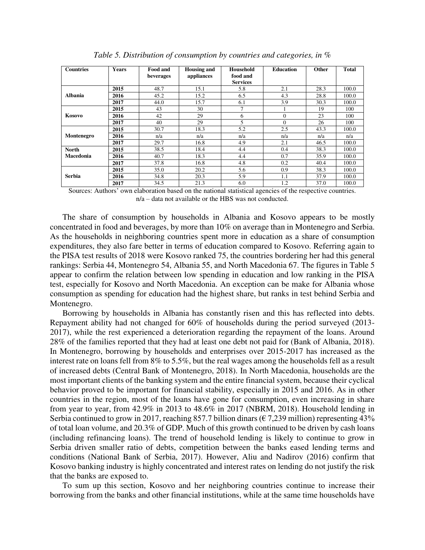| <b>Countries</b> | <b>Years</b> | <b>Food and</b><br>beverages | <b>Housing and</b><br>appliances | Household<br>food and<br><b>Services</b> | <b>Education</b> | Other | <b>Total</b> |
|------------------|--------------|------------------------------|----------------------------------|------------------------------------------|------------------|-------|--------------|
|                  | 2015         | 48.7                         | 15.1                             | 5.8                                      | 2.1              | 28.3  | 100.0        |
| <b>Albania</b>   | 2016         | 45.2                         | 15.2                             | 6.5                                      | 4.3              | 28.8  | 100.0        |
|                  | 2017         | 44.0                         | 15.7                             | 6.1                                      | 3.9              | 30.3  | 100.0        |
|                  | 2015         | 43                           | 30                               |                                          |                  | 19    | 100          |
| Kosovo           | 2016         | 42                           | 29                               | 6                                        | $\Omega$         | 23    | 100          |
|                  | 2017         | 40                           | 29                               | 5                                        | $\Omega$         | 26    | 100          |
|                  | 2015         | 30.7                         | 18.3                             | 5.2                                      | 2.5              | 43.3  | 100.0        |
| Montenegro       | 2016         | n/a                          | n/a                              | n/a                                      | n/a              | n/a   | n/a          |
|                  | 2017         | 29.7                         | 16.8                             | 4.9                                      | 2.1              | 46.5  | 100.0        |
| North            | 2015         | 38.5                         | 18.4                             | 4.4                                      | 0.4              | 38.3  | 100.0        |
| Macedonia        | 2016         | 40.7                         | 18.3                             | 4.4                                      | 0.7              | 35.9  | 100.0        |
|                  | 2017         | 37.8                         | 16.8                             | 4.8                                      | 0.2              | 40.4  | 100.0        |
|                  | 2015         | 35.0                         | 20.2                             | 5.6                                      | 0.9              | 38.3  | 100.0        |
| Serbia           | 2016         | 34.8                         | 20.3                             | 5.9                                      | 1.1              | 37.9  | 100.0        |
|                  | 2017         | 34.5                         | 21.3                             | 6.0                                      | 1.2              | 37.0  | 100.0        |

*Table 5. Distribution of consumption by countries and categories, in %* 

Sources: Authors' own elaboration based on the national statistical agencies of the respective countries. n/a – data not available or the HBS was not conducted.

The share of consumption by households in Albania and Kosovo appears to be mostly concentrated in food and beverages, by more than 10% on average than in Montenegro and Serbia. As the households in neighboring countries spent more in education as a share of consumption expenditures, they also fare better in terms of education compared to Kosovo. Referring again to the PISA test results of 2018 were Kosovo ranked 75, the countries bordering her had this general rankings: Serbia 44, Montenegro 54, Albania 55, and North Macedonia 67. The figures in Table 5 appear to confirm the relation between low spending in education and low ranking in the PISA test, especially for Kosovo and North Macedonia. An exception can be make for Albania whose consumption as spending for education had the highest share, but ranks in test behind Serbia and Montenegro.

Borrowing by households in Albania has constantly risen and this has reflected into debts. Repayment ability had not changed for 60% of households during the period surveyed (2013- 2017), while the rest experienced a deterioration regarding the repayment of the loans. Around 28% of the families reported that they had at least one debt not paid for (Bank of Albania, 2018). In Montenegro, borrowing by households and enterprises over 2015-2017 has increased as the interest rate on loans fell from 8% to 5.5%, but the real wages among the households fell as a result of increased debts (Central Bank of Montenegro, 2018). In North Macedonia, households are the most important clients of the banking system and the entire financial system, because their cyclical behavior proved to be important for financial stability, especially in 2015 and 2016. As in other countries in the region, most of the loans have gone for consumption, even increasing in share from year to year, from 42.9% in 2013 to 48.6% in 2017 (NBRM, 2018). Household lending in Serbia continued to grow in 2017, reaching 857.7 billion dinars ( $\epsilon$  7,239 million) representing 43% of total loan volume, and 20.3% of GDP. Much of this growth continued to be driven by cash loans (including refinancing loans). The trend of household lending is likely to continue to grow in Serbia driven smaller ratio of debts, competition between the banks eased lending terms and conditions (National Bank of Serbia, 2017). However, Aliu and Nadirov (2016) confirm that Kosovo banking industry is highly concentrated and interest rates on lending do not justify the risk that the banks are exposed to.

To sum up this section, Kosovo and her neighboring countries continue to increase their borrowing from the banks and other financial institutions, while at the same time households have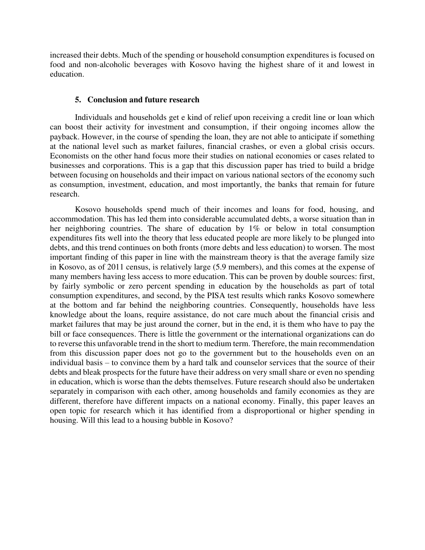increased their debts. Much of the spending or household consumption expenditures is focused on food and non-alcoholic beverages with Kosovo having the highest share of it and lowest in education.

### **5. Conclusion and future research**

Individuals and households get e kind of relief upon receiving a credit line or loan which can boost their activity for investment and consumption, if their ongoing incomes allow the payback. However, in the course of spending the loan, they are not able to anticipate if something at the national level such as market failures, financial crashes, or even a global crisis occurs. Economists on the other hand focus more their studies on national economies or cases related to businesses and corporations. This is a gap that this discussion paper has tried to build a bridge between focusing on households and their impact on various national sectors of the economy such as consumption, investment, education, and most importantly, the banks that remain for future research.

Kosovo households spend much of their incomes and loans for food, housing, and accommodation. This has led them into considerable accumulated debts, a worse situation than in her neighboring countries. The share of education by 1% or below in total consumption expenditures fits well into the theory that less educated people are more likely to be plunged into debts, and this trend continues on both fronts (more debts and less education) to worsen. The most important finding of this paper in line with the mainstream theory is that the average family size in Kosovo, as of 2011 census, is relatively large (5.9 members), and this comes at the expense of many members having less access to more education. This can be proven by double sources: first, by fairly symbolic or zero percent spending in education by the households as part of total consumption expenditures, and second, by the PISA test results which ranks Kosovo somewhere at the bottom and far behind the neighboring countries. Consequently, households have less knowledge about the loans, require assistance, do not care much about the financial crisis and market failures that may be just around the corner, but in the end, it is them who have to pay the bill or face consequences. There is little the government or the international organizations can do to reverse this unfavorable trend in the short to medium term. Therefore, the main recommendation from this discussion paper does not go to the government but to the households even on an individual basis – to convince them by a hard talk and counselor services that the source of their debts and bleak prospects for the future have their address on very small share or even no spending in education, which is worse than the debts themselves. Future research should also be undertaken separately in comparison with each other, among households and family economies as they are different, therefore have different impacts on a national economy. Finally, this paper leaves an open topic for research which it has identified from a disproportional or higher spending in housing. Will this lead to a housing bubble in Kosovo?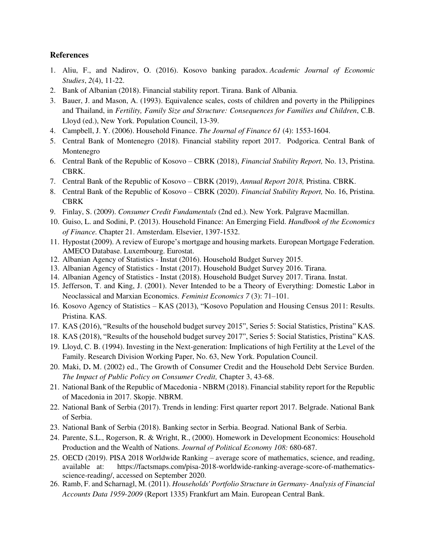# **References**

- 1. Aliu, F., and Nadirov, O. (2016). Kosovo banking paradox. *Academic Journal of Economic Studies*, *2*(4), 11-22.
- 2. Bank of Albanian (2018). Financial stability report. Tirana. Bank of Albania.
- 3. Bauer, J. and Mason, A. (1993). Equivalence scales, costs of children and poverty in the Philippines and Thailand, in *Fertility, Family Size and Structure: Consequences for Families and Children*, C.B. Lloyd (ed.), New York. Population Council, 13-39.
- 4. Campbell, J. Y. (2006). Household Finance. *The Journal of Finance 61* (4): 1553-1604.
- 5. Central Bank of Montenegro (2018). Financial stability report 2017. Podgorica. Central Bank of Montenegro
- 6. Central Bank of the Republic of Kosovo CBRK (2018), *Financial Stability Report,* No. 13, Pristina. CBRK.
- 7. Central Bank of the Republic of Kosovo CBRK (2019), *Annual Report 2018,* Pristina. CBRK.
- 8. Central Bank of the Republic of Kosovo CBRK (2020). *Financial Stability Report,* No. 16, Pristina. CBRK
- 9. Finlay, S. (2009). *Consumer Credit Fundamentals* (2nd ed.). New York. Palgrave Macmillan.
- 10. Guiso, L. and Sodini, P. (2013). Household Finance: An Emerging Field. *Handbook of the Economics of Finance.* Chapter 21. Amsterdam. Elsevier, 1397-1532.
- 11. Hypostat (2009). A review of Europe's mortgage and housing markets. European Mortgage Federation. AMECO Database. Luxembourg. Eurostat.
- 12. Albanian Agency of Statistics Instat (2016). Household Budget Survey 2015.
- 13. Albanian Agency of Statistics Instat (2017). Household Budget Survey 2016. Tirana.
- 14. Albanian Agency of Statistics Instat (2018). Household Budget Survey 2017. Tirana. Instat.
- 15. Jefferson, T. and King, J. (2001). Never Intended to be a Theory of Everything: Domestic Labor in Neoclassical and Marxian Economics. *Feminist Economics 7* (3): 71–101.
- 16. Kosovo Agency of Statistics KAS (2013), "Kosovo Population and Housing Census 2011: Results. Pristina. KAS.
- 17. KAS (2016), "Results of the household budget survey 2015", Series 5: Social Statistics, Pristina" KAS.
- 18. KAS (2018), "Results of the household budget survey 2017", Series 5: Social Statistics, Pristina" KAS.
- 19. Lloyd, C. B. (1994). Investing in the Next-generation: Implications of high Fertility at the Level of the Family. Research Division Working Paper, No. 63, New York. Population Council.
- 20. Maki, D**.** M. (2002) ed., The Growth of Consumer Credit and the Household Debt Service Burden. *The Impact of Public Policy on Consumer Credit,* Chapter 3, 43-68.
- 21. National Bank of the Republic of Macedonia NBRM (2018). Financial stability report for the Republic of Macedonia in 2017. Skopje. NBRM.
- 22. National Bank of Serbia (2017). Trends in lending: First quarter report 2017. Belgrade. National Bank of Serbia.
- 23. National Bank of Serbia (2018). Banking sector in Serbia. Beograd. National Bank of Serbia.
- 24. Parente, S.L., Rogerson, R. & Wright, R., (2000). Homework in Development Economics: Household Production and the Wealth of Nations. *Journal of Political Economy 108:* 680-687.
- 25. OECD (2019). PISA 2018 Worldwide Ranking average score of mathematics, science, and reading, available at: [https://factsmaps.com/pisa-2018-worldwide-ranking-average-score-of-mathematics](https://factsmaps.com/pisa-2018-worldwide-ranking-average-score-of-mathematics-science-reading/)[science-reading/,](https://factsmaps.com/pisa-2018-worldwide-ranking-average-score-of-mathematics-science-reading/) accessed on September 2020.
- 26. Ramb, F. and Scharnagl, M. (2011). *Households' Portfolio Structure in Germany- Analysis of Financial Accounts Data 1959-2009* (Report 1335) Frankfurt am Main. European Central Bank.